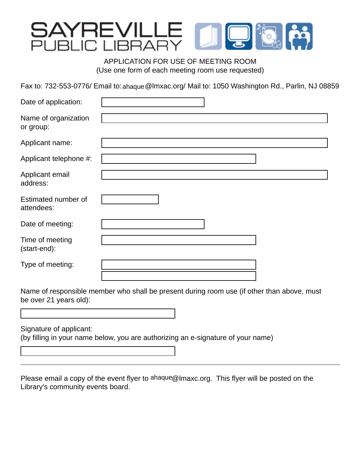# YREVILLE<br>ILIC LIBRARY

APPLICATION FOR USE OF MEETING ROOM (Use one form of each meeting room use requested)

Fax to: 732-553-0776/ Email to: ahaque @Imxac.org/ Mail to: 1050 Washington Rd., Parlin, NJ 08859

| Date of application:              |  |
|-----------------------------------|--|
| Name of organization<br>or group: |  |
| Applicant name:                   |  |
| Applicant telephone #:            |  |
| Applicant email<br>address:       |  |
| Estimated number of<br>attendees: |  |
| Date of meeting:                  |  |
| Time of meeting<br>(start-end):   |  |
| Type of meeting:                  |  |
|                                   |  |

Name of responsible member who shall be present during room use (if other than above, must be over 21 years old):

Signature of applicant:

(by filling in your name below, you are authorizing an e-signature of your name)

Please email a copy of the event flyer to ahaque@Imaxc.org. This flyer will be posted on the Library's community events board.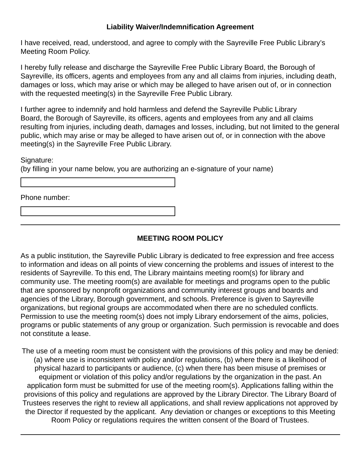### **Liability Waiver/Indemnification Agreement**

I have received, read, understood, and agree to comply with the Sayreville Free Public Library's Meeting Room Policy.

I hereby fully release and discharge the Sayreville Free Public Library Board, the Borough of Sayreville, its officers, agents and employees from any and all claims from injuries, including death, damages or loss, which may arise or which may be alleged to have arisen out of, or in connection with the requested meeting(s) in the Sayreville Free Public Library.

I further agree to indemnify and hold harmless and defend the Sayreville Public Library Board, the Borough of Sayreville, its officers, agents and employees from any and all claims resulting from injuries, including death, damages and losses, including, but not limited to the general public, which may arise or may be alleged to have arisen out of, or in connection with the above meeting(s) in the Sayreville Free Public Library.

Signature:

(by filling in your name below, you are authorizing an e-signature of your name)

Phone number:

# **MEETING ROOM POLICY**

As a public institution, the Sayreville Public Library is dedicated to free expression and free access to information and ideas on all points of view concerning the problems and issues of interest to the residents of Sayreville. To this end, The Library maintains meeting room(s) for library and community use. The meeting room(s) are available for meetings and programs open to the public that are sponsored by nonprofit organizations and community interest groups and boards and agencies of the Library, Borough government, and schools. Preference is given to Sayreville organizations, but regional groups are accommodated when there are no scheduled conflicts. Permission to use the meeting room(s) does not imply Library endorsement of the aims, policies, programs or public statements of any group or organization. Such permission is revocable and does not constitute a lease.

The use of a meeting room must be consistent with the provisions of this policy and may be denied: (a) where use is inconsistent with policy and/or regulations, (b) where there is a likelihood of physical hazard to participants or audience, (c) when there has been misuse of premises or equipment or violation of this policy and/or regulations by the organization in the past. An application form must be submitted for use of the meeting room(s). Applications falling within the provisions of this policy and regulations are approved by the Library Director. The Library Board of Trustees reserves the right to review all applications, and shall review applications not approved by the Director if requested by the applicant. Any deviation or changes or exceptions to this Meeting Room Policy or regulations requires the written consent of the Board of Trustees.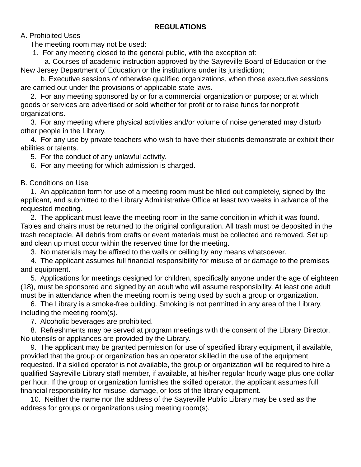## **REGULATIONS**

A. Prohibited Uses

The meeting room may not be used:

1. For any meeting closed to the general public, with the exception of:

 a. Courses of academic instruction approved by the Sayreville Board of Education or the New Jersey Department of Education or the institutions under its jurisdiction;

 b. Executive sessions of otherwise qualified organizations, when those executive sessions are carried out under the provisions of applicable state laws.

 2. For any meeting sponsored by or for a commercial organization or purpose; or at which goods or services are advertised or sold whether for profit or to raise funds for nonprofit organizations.

 3. For any meeting where physical activities and/or volume of noise generated may disturb other people in the Library.

 4. For any use by private teachers who wish to have their students demonstrate or exhibit their abilities or talents.

5. For the conduct of any unlawful activity.

6. For any meeting for which admission is charged.

B. Conditions on Use

 1. An application form for use of a meeting room must be filled out completely, signed by the applicant, and submitted to the Library Administrative Office at least two weeks in advance of the requested meeting.

 2. The applicant must leave the meeting room in the same condition in which it was found. Tables and chairs must be returned to the original configuration. All trash must be deposited in the trash receptacle. All debris from crafts or event materials must be collected and removed. Set up and clean up must occur within the reserved time for the meeting.

3. No materials may be affixed to the walls or ceiling by any means whatsoever.

 4. The applicant assumes full financial responsibility for misuse of or damage to the premises and equipment.

 5. Applications for meetings designed for children, specifically anyone under the age of eighteen (18), must be sponsored and signed by an adult who will assume responsibility. At least one adult must be in attendance when the meeting room is being used by such a group or organization.

 6. The Library is a smoke-free building. Smoking is not permitted in any area of the Library, including the meeting room(s).

7. Alcoholic beverages are prohibited.

 8. Refreshments may be served at program meetings with the consent of the Library Director. No utensils or appliances are provided by the Library.

 9. The applicant may be granted permission for use of specified library equipment, if available, provided that the group or organization has an operator skilled in the use of the equipment requested. If a skilled operator is not available, the group or organization will be required to hire a qualified Sayreville Library staff member, if available, at his/her regular hourly wage plus one dollar per hour. If the group or organization furnishes the skilled operator, the applicant assumes full financial responsibility for misuse, damage, or loss of the library equipment.

 10. Neither the name nor the address of the Sayreville Public Library may be used as the address for groups or organizations using meeting room(s).